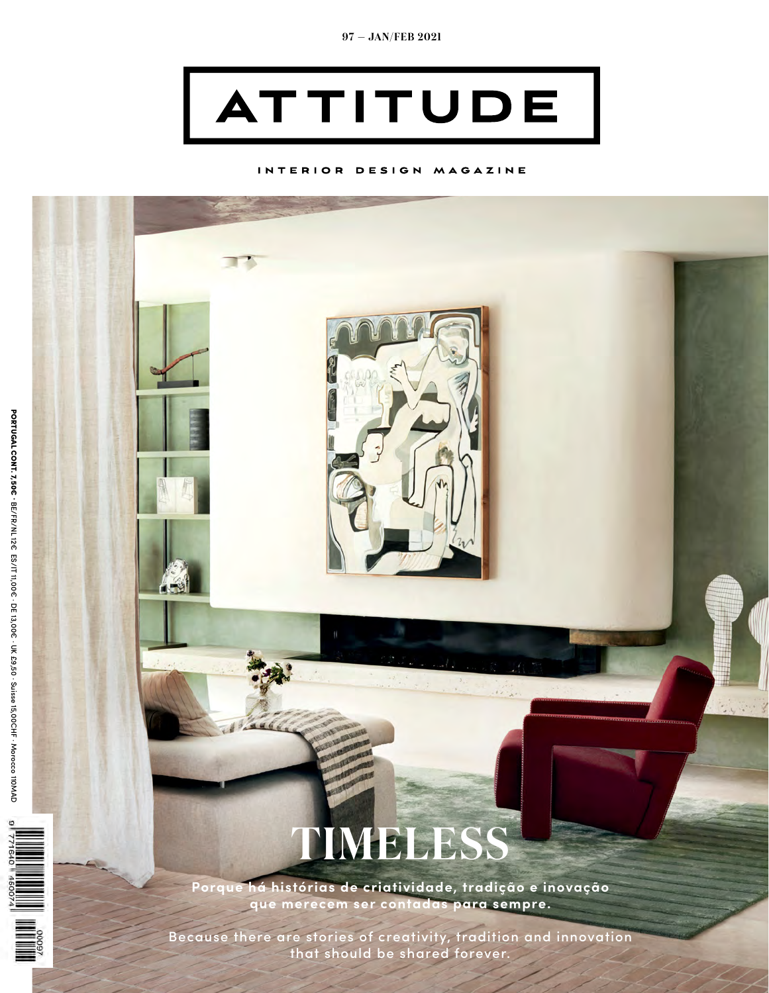

## INTERIOR DESIGN MAGAZINE



Because there are stories of creativity, tradition and innovation that should be shared forever.

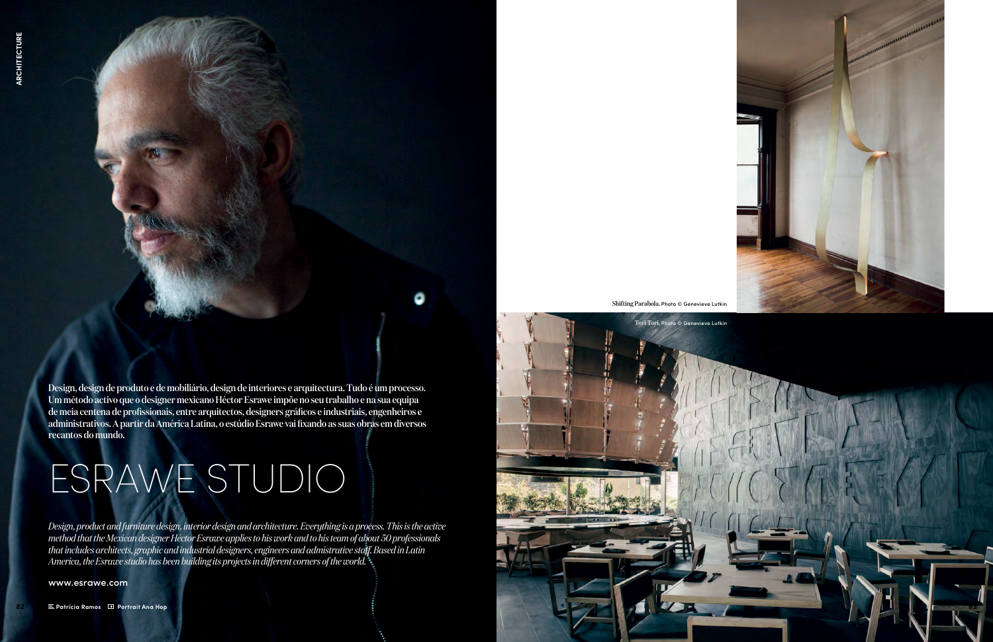Design, design de produto e de mobiliário, design de interiores e arquitectura. Tudo é um processo. Um método activo que o designer mexicano Héctor Esrawe impõe no seu trabalho e na sua equipa de meia centena de profissionais, entre arquitectos, designers gráficos e industriais, engenheiros e administrativos. A partir da América Latina, o estúdio Esrawe vai fixando as suas obras em diversos recantos do mundo.

## ESRAWE STUDIO

*Design, product and furniture design, interior design and architecture. Everything is a process. This is the active method that the Mexican designer Héctor Esrawe applies to his work and to his team of about 50 professionals that includes architects, graphic and industrial designers, engineers and admistrative staff. Based in Latin America, the Esrawe studio has been building its projects in different corners of the world.* 

www.esrawe.com

Shifting Parabola. Photo © Genevieve Lutkin



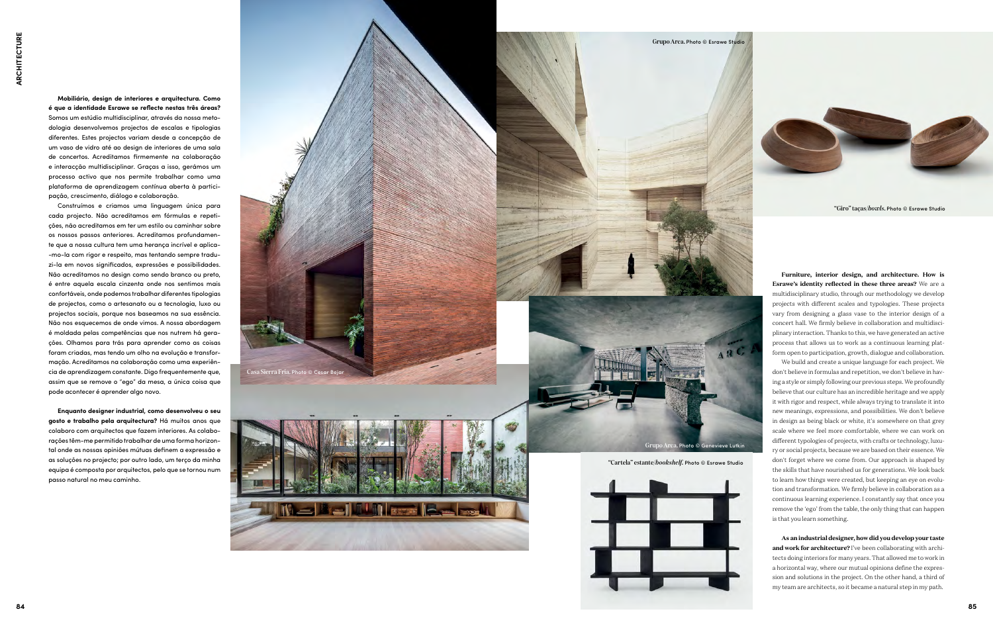**Mobiliário, design de interiores e arquitectura. Como é que a identidade Esrawe se reflecte nestas três áreas?** Somos um estúdio multidisciplinar, através da nossa metodologia desenvolvemos projectos de escalas e tipologias diferentes. Estes projectos variam desde a concepção de um vaso de vidro até ao design de interiores de uma sala de concertos. Acreditamos firmemente na colaboração e interacção multidisciplinar. Graças a isso, gerámos um processo activo que nos permite trabalhar como uma plataforma de aprendizagem contínua aberta à participação, crescimento, diálogo e colaboração.

Construímos e criamos uma linguagem única para cada projecto. Não acreditamos em fórmulas e repetições, não acreditamos em ter um estilo ou caminhar sobre os nossos passos anteriores. Acreditamos profundamente que a nossa cultura tem uma herança incrível e aplica- -mo-la com rigor e respeito, mas tentando sempre traduzi-la em novos significados, expressões e possibilidades. Não acreditamos no design como sendo branco ou preto, é entre aquela escala cinzenta onde nos sentimos mais confortáveis, onde podemos trabalhar diferentes tipologias de projectos, como o artesanato ou a tecnologia, luxo ou projectos sociais, porque nos baseamos na sua essência. Não nos esquecemos de onde vimos. A nossa abordagem é moldada pelas competências que nos nutrem há gerações. Olhamos para trás para aprender como as coisas foram criadas, mas tendo um olho na evolução e transformação. Acreditamos na colaboração como uma experiência de aprendizagem constante. Digo frequentemente que, assim que se remove o "ego" da mesa, a única coisa que pode acontecer é aprender algo novo.

**Enquanto designer industrial, como desenvolveu o seu gosto e trabalho pela arquitectura?** Há muitos anos que colaboro com arquitectos que fazem interiores. As colaborações têm-me permitido trabalhar de uma forma horizontal onde as nossas opiniões mútuas definem a expressão e as soluções no projecto; por outro lado, um terço da minha equipa é composta por arquitectos, pelo que se tornou num passo natural no meu caminho.

**Furniture, interior design, and architecture. How is Esrawe's identity reflected in these three areas?** We are a multidisciplinary studio, through our methodology we develop projects with different scales and typologies. These projects vary from designing a glass vase to the interior design of a concert hall. We firmly believe in collaboration and multidisciplinary interaction. Thanks to this, we have generated an active process that allows us to work as a continuous learning platform open to participation, growth, dialogue and collaboration.

We build and create a unique language for each project. We don't believe in formulas and repetition, we don't believe in having a style or simply following our previous steps. We profoundly believe that our culture has an incredible heritage and we apply it with rigor and respect, while always trying to translate it into new meanings, expressions, and possibilities. We don't believe in design as being black or white, it's somewhere on that grey scale where we feel more comfortable, where we can work on different typologies of projects, with crafts or technology, luxury or social projects, because we are based on their essence. We don't forget where we come from. Our approach is shaped by the skills that have nourished us for generations. We look back to learn how things were created, but keeping an eye on evolution and transformation. We firmly believe in collaboration as a continuous learning experience. I constantly say that once you remove the 'ego' from the table, the only thing that can happen is that you learn something.

**As an industrial designer, how did you develop your taste and work for architecture?** I've been collaborating with architects doing interiors for many years. That allowed me to work in a horizontal way, where our mutual opinions define the expression and solutions in the project. On the other hand, a third of my team are architects, so it became a natural step in my path.



"Giro" taças/*bowls*. Photo © Esrawe Studio